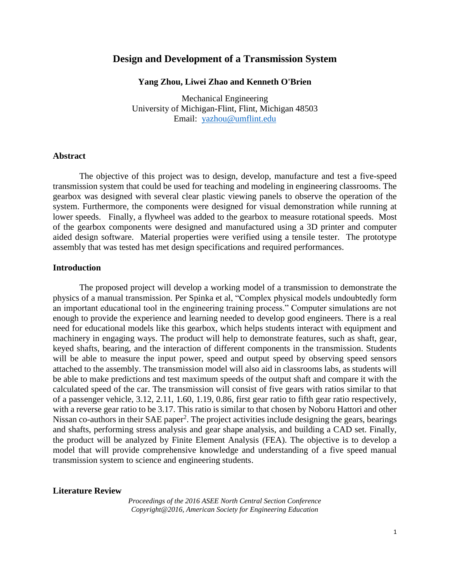## **Design and Development of a Transmission System**

#### **Yang Zhou, Liwei Zhao and Kenneth O'Brien**

Mechanical Engineering University of Michigan-Flint, Flint, Michigan 48503 Email: [yazhou@umflint.edu](mailto:yazhou@umflint.edu)

### **Abstract**

The objective of this project was to design, develop, manufacture and test a five-speed transmission system that could be used for teaching and modeling in engineering classrooms. The gearbox was designed with several clear plastic viewing panels to observe the operation of the system. Furthermore, the components were designed for visual demonstration while running at lower speeds. Finally, a flywheel was added to the gearbox to measure rotational speeds. Most of the gearbox components were designed and manufactured using a 3D printer and computer aided design software. Material properties were verified using a tensile tester. The prototype assembly that was tested has met design specifications and required performances.

### **Introduction**

The proposed project will develop a working model of a transmission to demonstrate the physics of a manual transmission. Per Spinka et al, "Complex physical models undoubtedly form an important educational tool in the engineering training process." Computer simulations are not enough to provide the experience and learning needed to develop good engineers. There is a real need for educational models like this gearbox, which helps students interact with equipment and machinery in engaging ways. The product will help to demonstrate features, such as shaft, gear, keyed shafts, bearing, and the interaction of different components in the transmission. Students will be able to measure the input power, speed and output speed by observing speed sensors attached to the assembly. The transmission model will also aid in classrooms labs, as students will be able to make predictions and test maximum speeds of the output shaft and compare it with the calculated speed of the car. The transmission will consist of five gears with ratios similar to that of a passenger vehicle, 3.12, 2.11, 1.60, 1.19, 0.86, first gear ratio to fifth gear ratio respectively, with a reverse gear ratio to be 3.17. This ratio is similar to that chosen by Noboru Hattori and other Nissan co-authors in their SAE paper<sup>2</sup>. The project activities include designing the gears, bearings and shafts, performing stress analysis and gear shape analysis, and building a CAD set. Finally, the product will be analyzed by Finite Element Analysis (FEA). The objective is to develop a model that will provide comprehensive knowledge and understanding of a five speed manual transmission system to science and engineering students.

#### **Literature Review**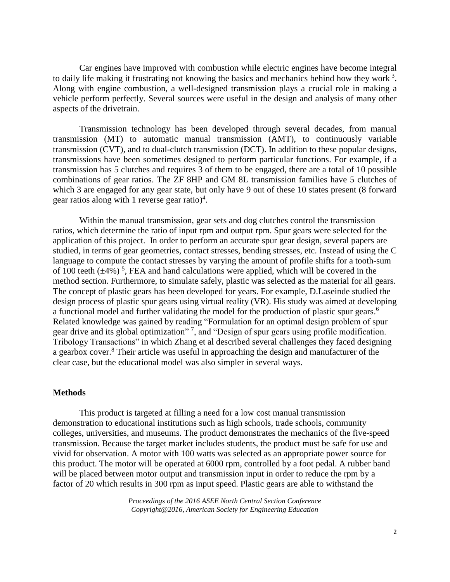Car engines have improved with combustion while electric engines have become integral to daily life making it frustrating not knowing the basics and mechanics behind how they work  $3$ . Along with engine combustion, a well-designed transmission plays a crucial role in making a vehicle perform perfectly. Several sources were useful in the design and analysis of many other aspects of the drivetrain.

Transmission technology has been developed through several decades, from manual transmission (MT) to automatic manual transmission (AMT), to continuously variable transmission (CVT), and to dual-clutch transmission (DCT). In addition to these popular designs, transmissions have been sometimes designed to perform particular functions. For example, if a transmission has 5 clutches and requires 3 of them to be engaged, there are a total of 10 possible combinations of gear ratios. The ZF 8HP and GM 8L transmission families have 5 clutches of which 3 are engaged for any gear state, but only have 9 out of these 10 states present (8 forward gear ratios along with 1 reverse gear ratio)<sup>4</sup>.

Within the manual transmission, gear sets and dog clutches control the transmission ratios, which determine the ratio of input rpm and output rpm. Spur gears were selected for the application of this project. In order to perform an accurate spur gear design, several papers are studied, in terms of gear geometries, contact stresses, bending stresses, etc. Instead of using the C language to compute the contact stresses by varying the amount of profile shifts for a tooth-sum of 100 teeth  $(\pm 4\%)$ <sup>5</sup>, FEA and hand calculations were applied, which will be covered in the method section. Furthermore, to simulate safely, plastic was selected as the material for all gears. The concept of plastic gears has been developed for years. For example, D.Laseinde studied the design process of plastic spur gears using virtual reality (VR). His study was aimed at developing a functional model and further validating the model for the production of plastic spur gears.<sup>6</sup> Related knowledge was gained by reading "Formulation for an optimal design problem of spur gear drive and its global optimization"<sup>7</sup>, and "Design of spur gears using profile modification. Tribology Transactions" in which Zhang et al described several challenges they faced designing a gearbox cover.<sup>8</sup> Their article was useful in approaching the design and manufacturer of the clear case, but the educational model was also simpler in several ways.

### **Methods**

This product is targeted at filling a need for a low cost manual transmission demonstration to educational institutions such as high schools, trade schools, community colleges, universities, and museums. The product demonstrates the mechanics of the five-speed transmission. Because the target market includes students, the product must be safe for use and vivid for observation. A motor with 100 watts was selected as an appropriate power source for this product. The motor will be operated at 6000 rpm, controlled by a foot pedal. A rubber band will be placed between motor output and transmission input in order to reduce the rpm by a factor of 20 which results in 300 rpm as input speed. Plastic gears are able to withstand the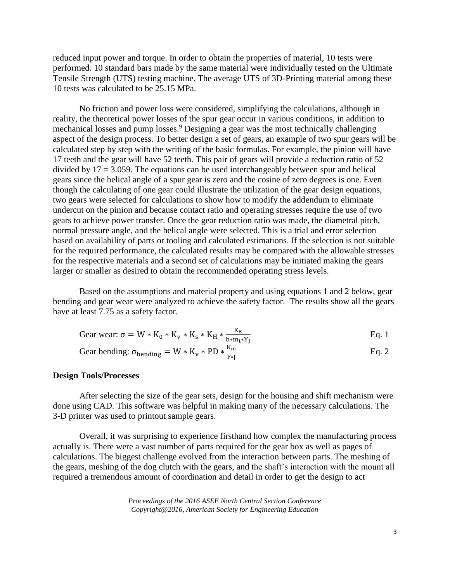reduced input power and torque. In order to obtain the properties of material, 10 tests were performed. 10 standard bars made by the same material were individually tested on the Ultimate Tensile Strength (UTS) testing machine. The average UTS of 3D-Printing material among these 10 tests was calculated to be 25.15 MPa.

No friction and power loss were considered, simplifying the calculations, although in reality, the theoretical power losses of the spur gear occur in various conditions, in addition to mechanical losses and pump losses. <sup>9</sup> Designing a gear was the most technically challenging aspect of the design process. To better design a set of gears, an example of two spur gears will be calculated step by step with the writing of the basic formulas. For example, the pinion will have 17 teeth and the gear will have 52 teeth. This pair of gears will provide a reduction ratio of 52 divided by  $17 = 3.059$ . The equations can be used interchangeably between spur and helical gears since the helical angle of a spur gear is zero and the cosine of zero degrees is one. Even though the calculating of one gear could illustrate the utilization of the gear design equations, two gears were selected for calculations to show how to modify the addendum to eliminate undercut on the pinion and because contact ratio and operating stresses require the use of two gears to achieve power transfer. Once the gear reduction ratio was made, the diametral pitch, normal pressure angle, and the helical angle were selected. This is a trial and error selection based on availability of parts or tooling and calculated estimations. If the selection is not suitable for the required performance, the calculated results may be compared with the allowable stresses for the respective materials and a second set of calculations may be initiated making the gears larger or smaller as desired to obtain the recommended operating stress levels.

Based on the assumptions and material property and using equations 1 and 2 below, gear bending and gear wear were analyzed to achieve the safety factor. The results show all the gears have at least 7.75 as a safety factor.

$$
Gear wear: \sigma = W * K_0 * K_v * K_s * K_H * \frac{K_B}{b * m_t * Y_J}
$$
 Eq. 1

$$
Gear bending: \sigma_{bending} = W * K_v * PD * \frac{K_m}{F*J}
$$
 Eq. 2

### **Design Tools/Processes**

After selecting the size of the gear sets, design for the housing and shift mechanism were done using CAD. This software was helpful in making many of the necessary calculations. The 3-D printer was used to printout sample gears.

Overall, it was surprising to experience firsthand how complex the manufacturing process actually is. There were a vast number of parts required for the gear box as well as pages of calculations. The biggest challenge evolved from the interaction between parts. The meshing of the gears, meshing of the dog clutch with the gears, and the shaft's interaction with the mount all required a tremendous amount of coordination and detail in order to get the design to act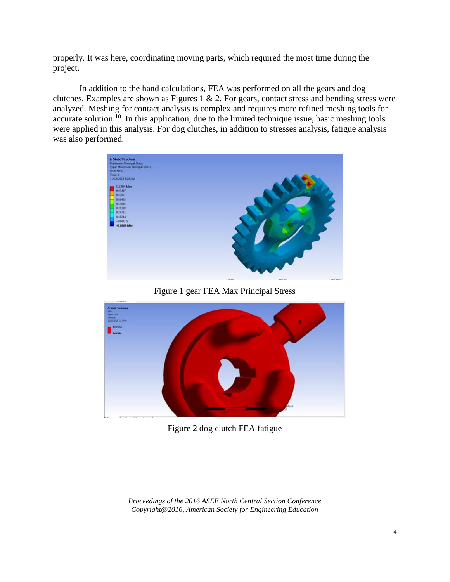properly. It was here, coordinating moving parts, which required the most time during the project.

In addition to the hand calculations, FEA was performed on all the gears and dog clutches. Examples are shown as Figures 1  $\&$  2. For gears, contact stress and bending stress were analyzed. Meshing for contact analysis is complex and requires more refined meshing tools for accurate solution.<sup>10</sup> In this application, due to the limited technique issue, basic meshing tools were applied in this analysis. For dog clutches, in addition to stresses analysis, fatigue analysis was also performed.



Figure 1 gear FEA Max Principal Stress



Figure 2 dog clutch FEA fatigue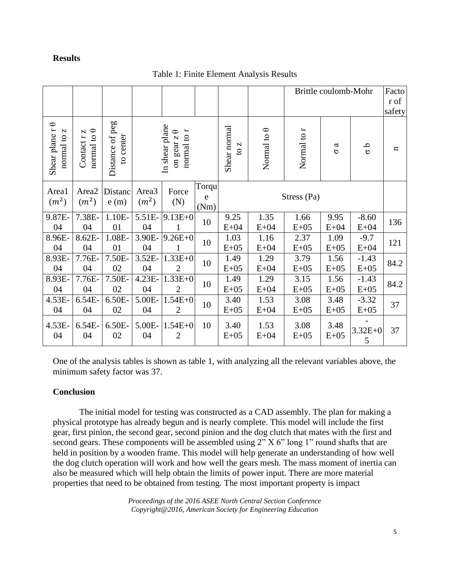# **Results**

|  |  |  | Table 1: Finite Element Analysis Results |  |
|--|--|--|------------------------------------------|--|
|--|--|--|------------------------------------------|--|

|                                               |                                      |                              |                                        |                                                                          |                    |                                     |                    | Brittle coulomb-Mohr |                |                   | Facto<br>r of<br>safety |
|-----------------------------------------------|--------------------------------------|------------------------------|----------------------------------------|--------------------------------------------------------------------------|--------------------|-------------------------------------|--------------------|----------------------|----------------|-------------------|-------------------------|
| $\bigcirc$<br>Shear plane r<br>N<br>normal to | normal to $\theta$<br>N<br>Contact r | Distance of peg<br>to center |                                        | In shear plane<br>$\overleftarrow{ }$<br>on gear $z \theta$<br>normal to |                    | Shear normal<br>N<br>$\overline{c}$ | Normal to $\theta$ | Normal to r          | ß<br>$\circ$   | ە<br>ە            | $\mathbf{u}$            |
| Area1<br>(m <sup>2</sup> )                    | Area2<br>(m <sup>2</sup> )           | Distanc<br>e(m)              | Area <sub>3</sub><br>(m <sup>2</sup> ) | Force<br>(N)                                                             | Torqu<br>e<br>(Nm) | Stress (Pa)                         |                    |                      |                |                   |                         |
| 9.87E-<br>04                                  | 7.38E-<br>04                         | $1.10E-$<br>01               | 5.51E-<br>04                           | $9.13E + 0$<br>$\mathbf{1}$                                              | 10                 | 9.25<br>$E+04$                      | 1.35<br>$E+04$     | 1.66<br>$E+05$       | 9.95<br>$E+04$ | $-8.60$<br>$E+04$ | 136                     |
| 8.96E-<br>04                                  | 8.62E-<br>04                         | 1.08E-<br>01                 | 3.90E-<br>04                           | $9.26E + 0$<br>1                                                         | 10                 | 1.03<br>$E+05$                      | 1.16<br>$E+04$     | 2.37<br>$E+05$       | 1.09<br>$E+05$ | $-9.7$<br>$E+04$  | 121                     |
| 8.93E-<br>04                                  | 7.76E-<br>04                         | 7.50E-<br>02                 | 3.52E-<br>04                           | $1.33E + 0$<br>$\overline{2}$                                            | 10                 | 1.49<br>$E+05$                      | 1.29<br>$E+04$     | 3.79<br>$E+05$       | 1.56<br>$E+05$ | $-1.43$<br>$E+05$ | 84.2                    |
| 8.93E-<br>04                                  | 7.76E-<br>04                         | 7.50E-<br>02                 | 4.23E-<br>04                           | $1.33E + 0$<br>$\overline{2}$                                            | 10                 | 1.49<br>$E+05$                      | 1.29<br>$E+04$     | 3.15<br>$E+05$       | 1.56<br>$E+05$ | $-1.43$<br>$E+05$ | 84.2                    |
| 4.53E-<br>04                                  | 6.54E-<br>04                         | 6.50E-<br>02                 | 5.00E-<br>04                           | $1.54E + 0$<br>$\overline{2}$                                            | 10                 | 3.40<br>$E+05$                      | 1.53<br>$E+04$     | 3.08<br>$E+05$       | 3.48<br>$E+05$ | $-3.32$<br>$E+05$ | 37                      |
| 4.53E-<br>04                                  | 6.54E-<br>04                         | 6.50E-<br>02                 | 5.00E-<br>04                           | $1.54E + 0$<br>$\overline{2}$                                            | 10                 | 3.40<br>$E+05$                      | 1.53<br>$E+04$     | 3.08<br>$E+05$       | 3.48<br>$E+05$ | $3.32E + 0$<br>5  | 37                      |

One of the analysis tables is shown as table 1, with analyzing all the relevant variables above, the minimum safety factor was 37.

# **Conclusion**

The initial model for testing was constructed as a CAD assembly. The plan for making a physical prototype has already begun and is nearly complete. This model will include the first gear, first pinion, the second gear, second pinion and the dog clutch that mates with the first and second gears. These components will be assembled using  $2^{n}$  X 6" long 1" round shafts that are held in position by a wooden frame. This model will help generate an understanding of how well the dog clutch operation will work and how well the gears mesh. The mass moment of inertia can also be measured which will help obtain the limits of power input. There are more material properties that need to be obtained from testing. The most important property is impact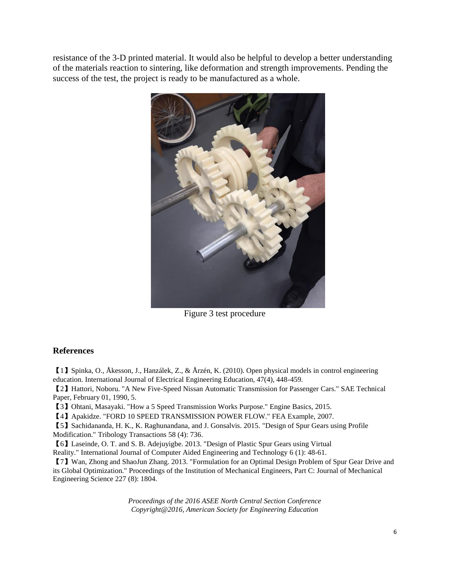resistance of the 3-D printed material. It would also be helpful to develop a better understanding of the materials reaction to sintering, like deformation and strength improvements. Pending the success of the test, the project is ready to be manufactured as a whole.



Figure 3 test procedure

## **References**

【1】Spinka, O., Åkesson, J., Hanzálek, Z., & Årzén, K. (2010). Open physical models in control engineering education. International Journal of Electrical Engineering Education, 47(4), 448-459.

【2】Hattori, Noboru. "A New Five-Speed Nissan Automatic Transmission for Passenger Cars." SAE Technical Paper, February 01, 1990, 5.

【3】Ohtani, Masayaki. "How a 5 Speed Transmission Works Purpose." Engine Basics, 2015.

【4】Apakidze. "FORD 10 SPEED TRANSMISSION POWER FLOW." FEA Example, 2007.

【5】Sachidananda, H. K., K. Raghunandana, and J. Gonsalvis. 2015. "Design of Spur Gears using Profile Modification." Tribology Transactions 58 (4): 736.

【6】Laseinde, O. T. and S. B. Adejuyigbe. 2013. "Design of Plastic Spur Gears using Virtual Reality." International Journal of Computer Aided Engineering and Technology 6 (1): 48-61.

【7】Wan, Zhong and ShaoJun Zhang. 2013. "Formulation for an Optimal Design Problem of Spur Gear Drive and its Global Optimization." Proceedings of the Institution of Mechanical Engineers, Part C: Journal of Mechanical Engineering Science 227 (8): 1804.